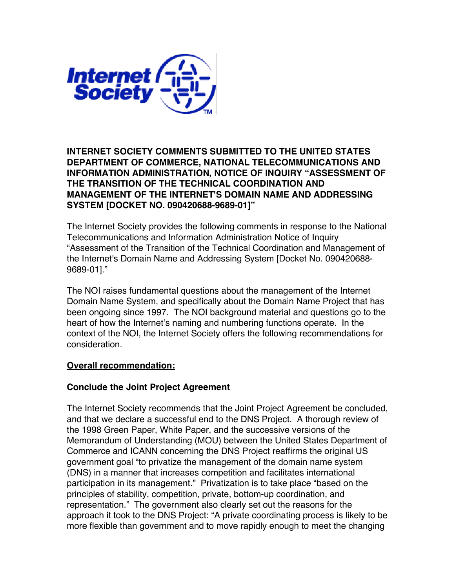

## **INTERNET SOCIETY COMMENTS SUBMITTED TO THE UNITED STATES DEPARTMENT OF COMMERCE, NATIONAL TELECOMMUNICATIONS AND INFORMATION ADMINISTRATION, NOTICE OF INQUIRY "ASSESSMENT OF THE TRANSITION OF THE TECHNICAL COORDINATION AND MANAGEMENT OF THE INTERNET'S DOMAIN NAME AND ADDRESSING SYSTEM [DOCKET NO. 090420688-9689-01]"**

The Internet Society provides the following comments in response to the National Telecommunications and Information Administration Notice of Inquiry "Assessment of the Transition of the Technical Coordination and Management of the Internet's Domain Name and Addressing System [Docket No. 090420688- 9689-01]."

The NOI raises fundamental questions about the management of the Internet Domain Name System, and specifically about the Domain Name Project that has been ongoing since 1997. The NOI background material and questions go to the heart of how the Internet's naming and numbering functions operate. In the context of the NOI, the Internet Society offers the following recommendations for consideration.

## **Overall recommendation:**

## **Conclude the Joint Project Agreement**

The Internet Society recommends that the Joint Project Agreement be concluded, and that we declare a successful end to the DNS Project. A thorough review of the 1998 Green Paper, White Paper, and the successive versions of the Memorandum of Understanding (MOU) between the United States Department of Commerce and ICANN concerning the DNS Project reaffirms the original US government goal "to privatize the management of the domain name system (DNS) in a manner that increases competition and facilitates international participation in its management." Privatization is to take place "based on the principles of stability, competition, private, bottom-up coordination, and representation." The government also clearly set out the reasons for the approach it took to the DNS Project: "A private coordinating process is likely to be more flexible than government and to move rapidly enough to meet the changing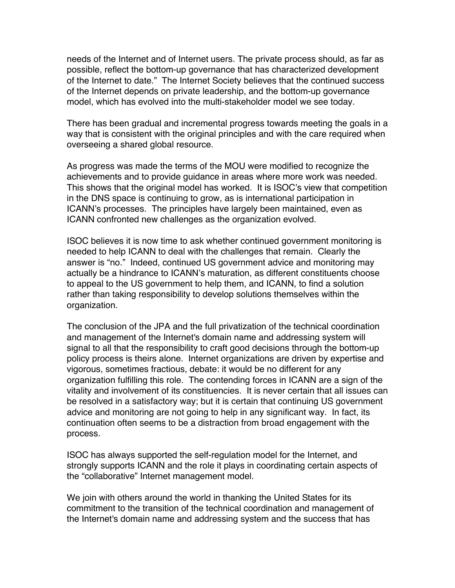needs of the Internet and of Internet users. The private process should, as far as possible, reflect the bottom-up governance that has characterized development of the Internet to date." The Internet Society believes that the continued success of the Internet depends on private leadership, and the bottom-up governance model, which has evolved into the multi-stakeholder model we see today.

There has been gradual and incremental progress towards meeting the goals in a way that is consistent with the original principles and with the care required when overseeing a shared global resource.

As progress was made the terms of the MOU were modified to recognize the achievements and to provide guidance in areas where more work was needed. This shows that the original model has worked. It is ISOC's view that competition in the DNS space is continuing to grow, as is international participation in ICANN's processes. The principles have largely been maintained, even as ICANN confronted new challenges as the organization evolved.

ISOC believes it is now time to ask whether continued government monitoring is needed to help ICANN to deal with the challenges that remain. Clearly the answer is "no." Indeed, continued US government advice and monitoring may actually be a hindrance to ICANN's maturation, as different constituents choose to appeal to the US government to help them, and ICANN, to find a solution rather than taking responsibility to develop solutions themselves within the organization.

The conclusion of the JPA and the full privatization of the technical coordination and management of the Internet's domain name and addressing system will signal to all that the responsibility to craft good decisions through the bottom-up policy process is theirs alone. Internet organizations are driven by expertise and vigorous, sometimes fractious, debate: it would be no different for any organization fulfilling this role. The contending forces in ICANN are a sign of the vitality and involvement of its constituencies. It is never certain that all issues can be resolved in a satisfactory way; but it is certain that continuing US government advice and monitoring are not going to help in any significant way. In fact, its continuation often seems to be a distraction from broad engagement with the process.

ISOC has always supported the self-regulation model for the Internet, and strongly supports ICANN and the role it plays in coordinating certain aspects of the "collaborative" Internet management model.

We join with others around the world in thanking the United States for its commitment to the transition of the technical coordination and management of the Internet's domain name and addressing system and the success that has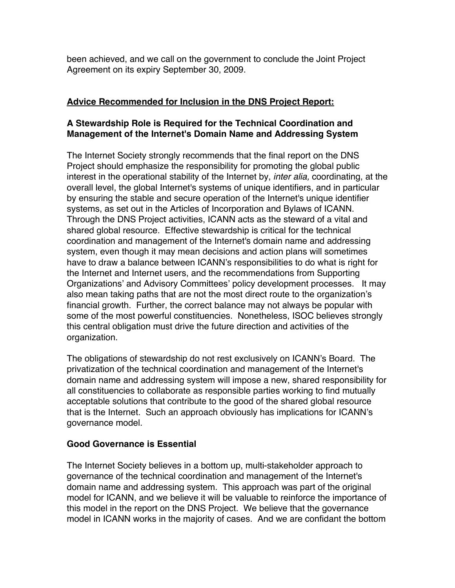been achieved, and we call on the government to conclude the Joint Project Agreement on its expiry September 30, 2009.

# **Advice Recommended for Inclusion in the DNS Project Report:**

## **A Stewardship Role is Required for the Technical Coordination and Management of the Internet's Domain Name and Addressing System**

The Internet Society strongly recommends that the final report on the DNS Project should emphasize the responsibility for promoting the global public interest in the operational stability of the Internet by, *inter alia,* coordinating, at the overall level, the global Internet's systems of unique identifiers, and in particular by ensuring the stable and secure operation of the Internet's unique identifier systems, as set out in the Articles of Incorporation and Bylaws of ICANN. Through the DNS Project activities, ICANN acts as the steward of a vital and shared global resource. Effective stewardship is critical for the technical coordination and management of the Internet's domain name and addressing system, even though it may mean decisions and action plans will sometimes have to draw a balance between ICANN's responsibilities to do what is right for the Internet and Internet users, and the recommendations from Supporting Organizations' and Advisory Committees' policy development processes. It may also mean taking paths that are not the most direct route to the organization's financial growth. Further, the correct balance may not always be popular with some of the most powerful constituencies. Nonetheless, ISOC believes strongly this central obligation must drive the future direction and activities of the organization.

The obligations of stewardship do not rest exclusively on ICANN's Board. The privatization of the technical coordination and management of the Internet's domain name and addressing system will impose a new, shared responsibility for all constituencies to collaborate as responsible parties working to find mutually acceptable solutions that contribute to the good of the shared global resource that is the Internet. Such an approach obviously has implications for ICANN's governance model.

## **Good Governance is Essential**

The Internet Society believes in a bottom up, multi-stakeholder approach to governance of the technical coordination and management of the Internet's domain name and addressing system. This approach was part of the original model for ICANN, and we believe it will be valuable to reinforce the importance of this model in the report on the DNS Project. We believe that the governance model in ICANN works in the majority of cases. And we are confidant the bottom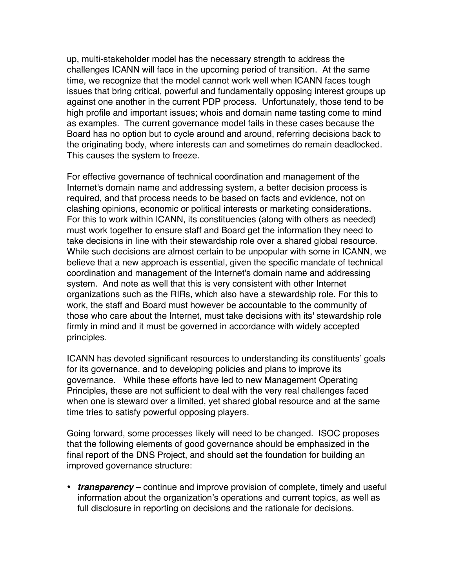up, multi-stakeholder model has the necessary strength to address the challenges ICANN will face in the upcoming period of transition. At the same time, we recognize that the model cannot work well when ICANN faces tough issues that bring critical, powerful and fundamentally opposing interest groups up against one another in the current PDP process. Unfortunately, those tend to be high profile and important issues; whois and domain name tasting come to mind as examples. The current governance model fails in these cases because the Board has no option but to cycle around and around, referring decisions back to the originating body, where interests can and sometimes do remain deadlocked. This causes the system to freeze.

For effective governance of technical coordination and management of the Internet's domain name and addressing system, a better decision process is required, and that process needs to be based on facts and evidence, not on clashing opinions, economic or political interests or marketing considerations. For this to work within ICANN, its constituencies (along with others as needed) must work together to ensure staff and Board get the information they need to take decisions in line with their stewardship role over a shared global resource. While such decisions are almost certain to be unpopular with some in ICANN, we believe that a new approach is essential, given the specific mandate of technical coordination and management of the Internet's domain name and addressing system. And note as well that this is very consistent with other Internet organizations such as the RIRs, which also have a stewardship role. For this to work, the staff and Board must however be accountable to the community of those who care about the Internet, must take decisions with its' stewardship role firmly in mind and it must be governed in accordance with widely accepted principles.

ICANN has devoted significant resources to understanding its constituents' goals for its governance, and to developing policies and plans to improve its governance. While these efforts have led to new Management Operating Principles, these are not sufficient to deal with the very real challenges faced when one is steward over a limited, yet shared global resource and at the same time tries to satisfy powerful opposing players.

Going forward, some processes likely will need to be changed. ISOC proposes that the following elements of good governance should be emphasized in the final report of the DNS Project, and should set the foundation for building an improved governance structure:

• *transparency* – continue and improve provision of complete, timely and useful information about the organization's operations and current topics, as well as full disclosure in reporting on decisions and the rationale for decisions.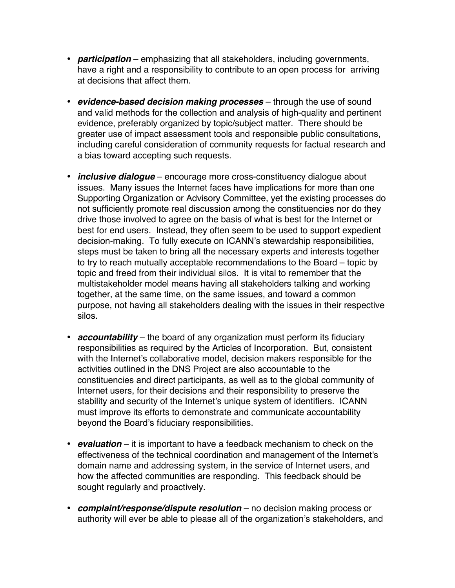- *participation* emphasizing that all stakeholders, including governments, have a right and a responsibility to contribute to an open process for arriving at decisions that affect them.
- *evidence-based decision making processes* through the use of sound and valid methods for the collection and analysis of high-quality and pertinent evidence, preferably organized by topic/subject matter. There should be greater use of impact assessment tools and responsible public consultations, including careful consideration of community requests for factual research and a bias toward accepting such requests.
- *inclusive dialogue* encourage more cross-constituency dialogue about issues. Many issues the Internet faces have implications for more than one Supporting Organization or Advisory Committee, yet the existing processes do not sufficiently promote real discussion among the constituencies nor do they drive those involved to agree on the basis of what is best for the Internet or best for end users. Instead, they often seem to be used to support expedient decision-making. To fully execute on ICANN's stewardship responsibilities, steps must be taken to bring all the necessary experts and interests together to try to reach mutually acceptable recommendations to the Board – topic by topic and freed from their individual silos. It is vital to remember that the multistakeholder model means having all stakeholders talking and working together, at the same time, on the same issues, and toward a common purpose, not having all stakeholders dealing with the issues in their respective silos.
- *accountability* the board of any organization must perform its fiduciary responsibilities as required by the Articles of Incorporation. But, consistent with the Internet's collaborative model, decision makers responsible for the activities outlined in the DNS Project are also accountable to the constituencies and direct participants, as well as to the global community of Internet users, for their decisions and their responsibility to preserve the stability and security of the Internet's unique system of identifiers. ICANN must improve its efforts to demonstrate and communicate accountability beyond the Board's fiduciary responsibilities.
- *evaluation* it is important to have a feedback mechanism to check on the effectiveness of the technical coordination and management of the Internet's domain name and addressing system, in the service of Internet users, and how the affected communities are responding. This feedback should be sought regularly and proactively.
- *complaint/response/dispute resolution* no decision making process or authority will ever be able to please all of the organization's stakeholders, and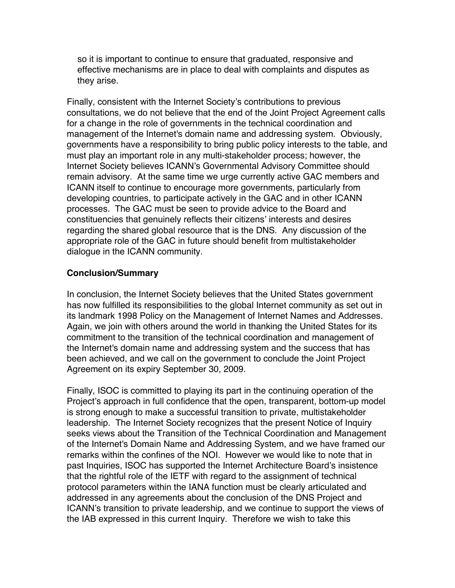so it is important to continue to ensure that graduated, responsive and effective mechanisms are in place to deal with complaints and disputes as they arise.

Finally, consistent with the Internet Society's contributions to previous consultations, we do not believe that the end of the Joint Project Agreement calls for a change in the role of governments in the technical coordination and management of the Internet's domain name and addressing system. Obviously, governments have a responsibility to bring public policy interests to the table, and must play an important role in any multi-stakeholder process; however, the Internet Society believes ICANN's Governmental Advisory Committee should remain advisory. At the same time we urge currently active GAC members and ICANN itself to continue to encourage more governments, particularly from developing countries, to participate actively in the GAC and in other ICANN processes. The GAC must be seen to provide advice to the Board and constituencies that genuinely reflects their citizens' interests and desires regarding the shared global resource that is the DNS. Any discussion of the appropriate role of the GAC in future should benefit from multistakeholder dialogue in the ICANN community.

### **Conclusion/Summary**

In conclusion, the Internet Society believes that the United States government has now fulfilled its responsibilities to the global Internet community as set out in its landmark 1998 Policy on the Management of Internet Names and Addresses. Again, we join with others around the world in thanking the United States for its commitment to the transition of the technical coordination and management of the Internet's domain name and addressing system and the success that has been achieved, and we call on the government to conclude the Joint Project Agreement on its expiry September 30, 2009.

Finally, ISOC is committed to playing its part in the continuing operation of the Project's approach in full confidence that the open, transparent, bottom-up model is strong enough to make a successful transition to private, multistakeholder leadership. The Internet Society recognizes that the present Notice of Inquiry seeks views about the Transition of the Technical Coordination and Management of the Internet's Domain Name and Addressing System, and we have framed our remarks within the confines of the NOI. However we would like to note that in past Inquiries, ISOC has supported the Internet Architecture Board's insistence that the rightful role of the IETF with regard to the assignment of technical protocol parameters within the IANA function must be clearly articulated and addressed in any agreements about the conclusion of the DNS Project and ICANN's transition to private leadership, and we continue to support the views of the IAB expressed in this current Inquiry. Therefore we wish to take this